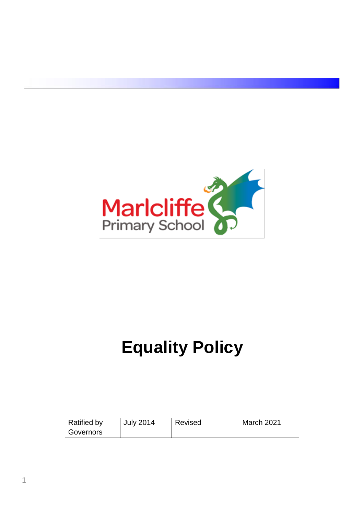

# **Equality Policy**

| <b>Ratified by</b> | <b>July 2014</b> | Revised | March 2021 |
|--------------------|------------------|---------|------------|
| Governors          |                  |         |            |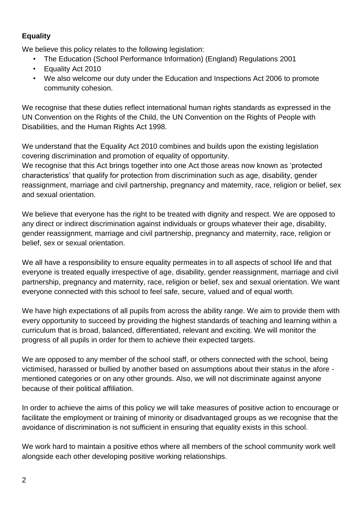# **Equality**

We believe this policy relates to the following legislation:

- The Education (School Performance Information) (England) Regulations 2001
- Equality Act 2010
- We also welcome our duty under the Education and Inspections Act 2006 to promote community cohesion.

We recognise that these duties reflect international human rights standards as expressed in the UN Convention on the Rights of the Child, the UN Convention on the Rights of People with Disabilities, and the Human Rights Act 1998.

We understand that the Equality Act 2010 combines and builds upon the existing legislation covering discrimination and promotion of equality of opportunity.

We recognise that this Act brings together into one Act those areas now known as 'protected characteristics' that qualify for protection from discrimination such as age, disability, gender reassignment, marriage and civil partnership, pregnancy and maternity, race, religion or belief, sex and sexual orientation.

We believe that everyone has the right to be treated with dignity and respect. We are opposed to any direct or indirect discrimination against individuals or groups whatever their age, disability, gender reassignment, marriage and civil partnership, pregnancy and maternity, race, religion or belief, sex or sexual orientation.

We all have a responsibility to ensure equality permeates in to all aspects of school life and that everyone is treated equally irrespective of age, disability, gender reassignment, marriage and civil partnership, pregnancy and maternity, race, religion or belief, sex and sexual orientation. We want everyone connected with this school to feel safe, secure, valued and of equal worth.

We have high expectations of all pupils from across the ability range. We aim to provide them with every opportunity to succeed by providing the highest standards of teaching and learning within a curriculum that is broad, balanced, differentiated, relevant and exciting. We will monitor the progress of all pupils in order for them to achieve their expected targets.

We are opposed to any member of the school staff, or others connected with the school, being victimised, harassed or bullied by another based on assumptions about their status in the afore mentioned categories or on any other grounds. Also, we will not discriminate against anyone because of their political affiliation.

In order to achieve the aims of this policy we will take measures of positive action to encourage or facilitate the employment or training of minority or disadvantaged groups as we recognise that the avoidance of discrimination is not sufficient in ensuring that equality exists in this school.

We work hard to maintain a positive ethos where all members of the school community work well alongside each other developing positive working relationships.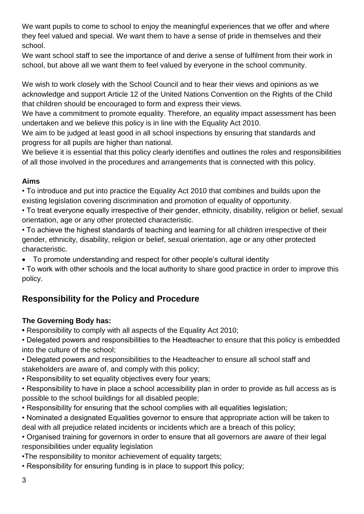We want pupils to come to school to enjoy the meaningful experiences that we offer and where they feel valued and special. We want them to have a sense of pride in themselves and their school.

We want school staff to see the importance of and derive a sense of fulfilment from their work in school, but above all we want them to feel valued by everyone in the school community.

We wish to work closely with the School Council and to hear their views and opinions as we acknowledge and support Article 12 of the United Nations Convention on the Rights of the Child that children should be encouraged to form and express their views.

We have a commitment to promote equality. Therefore, an equality impact assessment has been undertaken and we believe this policy is in line with the Equality Act 2010.

We aim to be judged at least good in all school inspections by ensuring that standards and progress for all pupils are higher than national.

We believe it is essential that this policy clearly identifies and outlines the roles and responsibilities of all those involved in the procedures and arrangements that is connected with this policy.

## **Aims**

• To introduce and put into practice the Equality Act 2010 that combines and builds upon the existing legislation covering discrimination and promotion of equality of opportunity.

• To treat everyone equally irrespective of their gender, ethnicity, disability, religion or belief, sexual orientation, age or any other protected characteristic.

• To achieve the highest standards of teaching and learning for all children irrespective of their gender, ethnicity, disability, religion or belief, sexual orientation, age or any other protected characteristic.

• To promote understanding and respect for other people's cultural identity

• To work with other schools and the local authority to share good practice in order to improve this policy.

# **Responsibility for the Policy and Procedure**

# **The Governing Body has:**

**•** Responsibility to comply with all aspects of the Equality Act 2010;

• Delegated powers and responsibilities to the Headteacher to ensure that this policy is embedded into the culture of the school;

• Delegated powers and responsibilities to the Headteacher to ensure all school staff and stakeholders are aware of, and comply with this policy;

• Responsibility to set equality objectives every four years;

• Responsibility to have in place a school accessibility plan in order to provide as full access as is possible to the school buildings for all disabled people;

• Responsibility for ensuring that the school complies with all equalities legislation;

• Nominated a designated Equalities governor to ensure that appropriate action will be taken to deal with all prejudice related incidents or incidents which are a breach of this policy;

• Organised training for governors in order to ensure that all governors are aware of their legal responsibilities under equality legislation

•The responsibility to monitor achievement of equality targets;

• Responsibility for ensuring funding is in place to support this policy;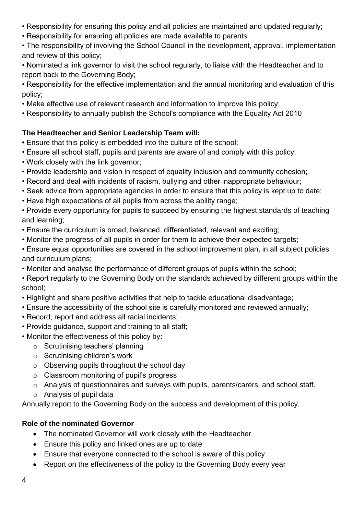- Responsibility for ensuring this policy and all policies are maintained and updated regularly;
- Responsibility for ensuring all policies are made available to parents
- The responsibility of involving the School Council in the development, approval, implementation and review of this policy;
- Nominated a link governor to visit the school regularly, to liaise with the Headteacher and to report back to the Governing Body;
- Responsibility for the effective implementation and the annual monitoring and evaluation of this policy;
- Make effective use of relevant research and information to improve this policy;
- Responsibility to annually publish the School's compliance with the Equality Act 2010

# **The Headteacher and Senior Leadership Team will:**

- Ensure that this policy is embedded into the culture of the school;
- Ensure all school staff, pupils and parents are aware of and comply with this policy;
- Work closely with the link governor;
- Provide leadership and vision in respect of equality inclusion and community cohesion;
- Record and deal with incidents of racism, bullying and other inappropriate behaviour;
- Seek advice from appropriate agencies in order to ensure that this policy is kept up to date;
- Have high expectations of all pupils from across the ability range;

• Provide every opportunity for pupils to succeed by ensuring the highest standards of teaching and learning;

- Ensure the curriculum is broad, balanced, differentiated, relevant and exciting;
- Monitor the progress of all pupils in order for them to achieve their expected targets;
- Ensure equal opportunities are covered in the school improvement plan, in all subject policies and curriculum plans;
- Monitor and analyse the performance of different groups of pupils within the school;
- Report regularly to the Governing Body on the standards achieved by different groups within the school;
- Highlight and share positive activities that help to tackle educational disadvantage;
- Ensure the accessibility of the school site is carefully monitored and reviewed annually;
- Record, report and address all racial incidents;
- Provide guidance, support and training to all staff;
- Monitor the effectiveness of this policy by**:**
	- o Scrutinising teachers' planning
	- o Scrutinising children's work
	- o Observing pupils throughout the school day
	- o Classroom monitoring of pupil's progress
	- o Analysis of questionnaires and surveys with pupils, parents/carers, and school staff.
	- o Analysis of pupil data

Annually report to the Governing Body on the success and development of this policy.

# **Role of the nominated Governor**

- The nominated Governor will work closely with the Headteacher
- Ensure this policy and linked ones are up to date
- Ensure that everyone connected to the school is aware of this policy
- Report on the effectiveness of the policy to the Governing Body every year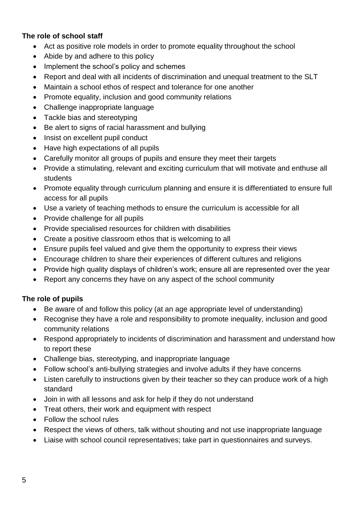#### **The role of school staff**

- Act as positive role models in order to promote equality throughout the school
- Abide by and adhere to this policy
- Implement the school's policy and schemes
- Report and deal with all incidents of discrimination and unequal treatment to the SLT
- Maintain a school ethos of respect and tolerance for one another
- Promote equality, inclusion and good community relations
- Challenge inappropriate language
- Tackle bias and stereotyping
- Be alert to signs of racial harassment and bullying
- Insist on excellent pupil conduct
- Have high expectations of all pupils
- Carefully monitor all groups of pupils and ensure they meet their targets
- Provide a stimulating, relevant and exciting curriculum that will motivate and enthuse all students
- Promote equality through curriculum planning and ensure it is differentiated to ensure full access for all pupils
- Use a variety of teaching methods to ensure the curriculum is accessible for all
- Provide challenge for all pupils
- Provide specialised resources for children with disabilities
- Create a positive classroom ethos that is welcoming to all
- Ensure pupils feel valued and give them the opportunity to express their views
- Encourage children to share their experiences of different cultures and religions
- Provide high quality displays of children's work; ensure all are represented over the year
- Report any concerns they have on any aspect of the school community

## **The role of pupils**

- Be aware of and follow this policy (at an age appropriate level of understanding)
- Recognise they have a role and responsibility to promote inequality, inclusion and good community relations
- Respond appropriately to incidents of discrimination and harassment and understand how to report these
- Challenge bias, stereotyping, and inappropriate language
- Follow school's anti-bullying strategies and involve adults if they have concerns
- Listen carefully to instructions given by their teacher so they can produce work of a high standard
- Join in with all lessons and ask for help if they do not understand
- Treat others, their work and equipment with respect
- Follow the school rules
- Respect the views of others, talk without shouting and not use inappropriate language
- Liaise with school council representatives; take part in questionnaires and surveys.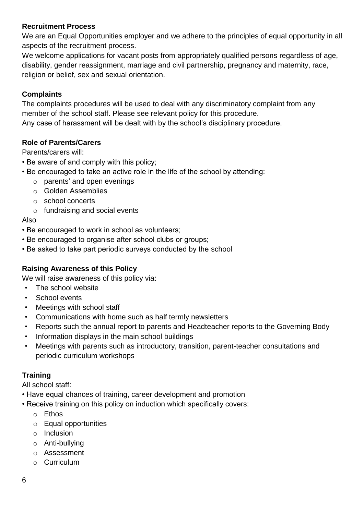#### **Recruitment Process**

We are an Equal Opportunities employer and we adhere to the principles of equal opportunity in all aspects of the recruitment process.

We welcome applications for vacant posts from appropriately qualified persons regardless of age, disability, gender reassignment, marriage and civil partnership, pregnancy and maternity, race, religion or belief, sex and sexual orientation.

#### **Complaints**

The complaints procedures will be used to deal with any discriminatory complaint from any member of the school staff. Please see relevant policy for this procedure. Any case of harassment will be dealt with by the school's disciplinary procedure.

#### **Role of Parents/Carers**

Parents/carers will:

- Be aware of and comply with this policy;
- Be encouraged to take an active role in the life of the school by attending:
	- o parents' and open evenings
	- o Golden Assemblies
	- o school concerts
	- o fundraising and social events

#### Also

- Be encouraged to work in school as volunteers;
- Be encouraged to organise after school clubs or groups;
- Be asked to take part periodic surveys conducted by the school

## **Raising Awareness of this Policy**

We will raise awareness of this policy via:

- The school website
- School events
- Meetings with school staff
- Communications with home such as half termly newsletters
- Reports such the annual report to parents and Headteacher reports to the Governing Body
- Information displays in the main school buildings
- Meetings with parents such as introductory, transition, parent-teacher consultations and periodic curriculum workshops

## **Training**

All school staff:

- Have equal chances of training, career development and promotion
- Receive training on this policy on induction which specifically covers:
	- o Ethos
	- o Equal opportunities
	- o Inclusion
	- o Anti-bullying
	- o Assessment
	- o Curriculum